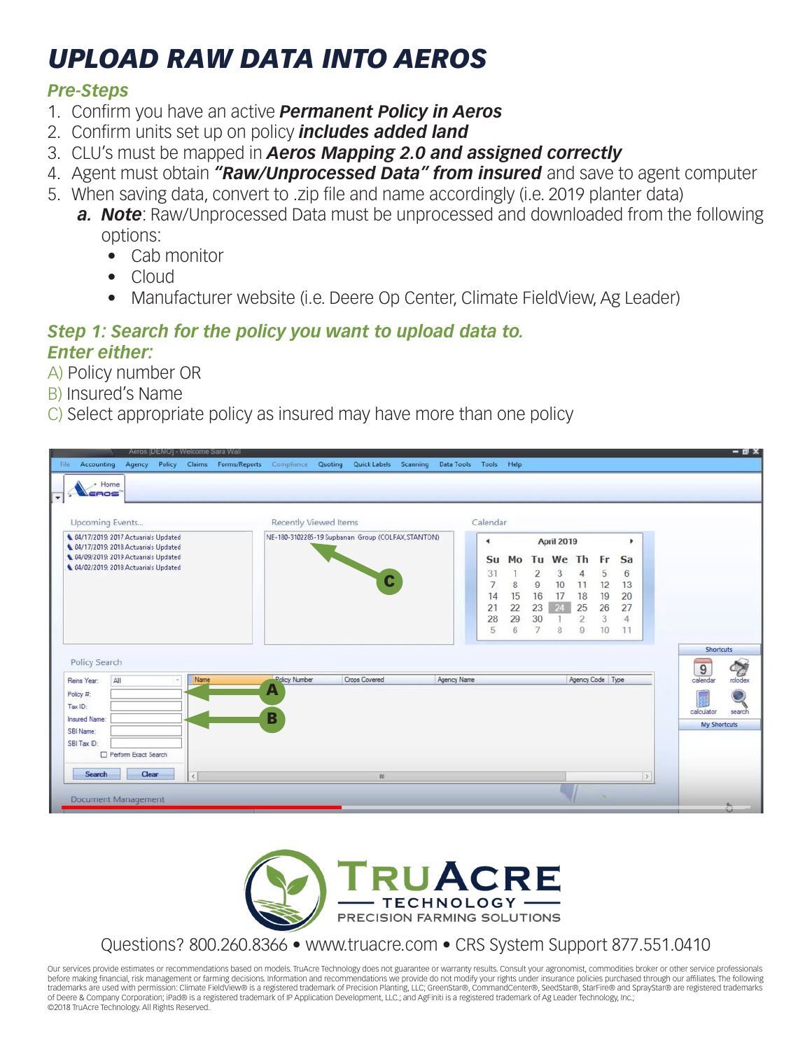# *UPLOAD RAW DATA INTO AEROS*

## *Pre-Steps*

- 1. Confirm you have an active *Permanent Policy in Aeros*
- 2. Confirm units set up on policy *includes added land*
- 3. CLU's must be mapped in *Aeros Mapping 2.0 and assigned correctly*
- 4. Agent must obtain *"Raw/Unprocessed Data" from insured* and save to agent computer
- 5. When saving data, convert to .zip file and name accordingly (i.e. 2019 planter data)
	- *a. Note*: Raw/Unprocessed Data must be unprocessed and downloaded from the following options:
		- Cab monitor
		- Cloud
		- Manufacturer website (i.e. Deere Op Center, Climate FieldView, Ag Leader)

### *Step 1: Search for the policy you want to upload data to. Enter either:*

- A) Policy number OR
- B) Insured's Name
- C) Select appropriate policy as insured may have more than one policy





## Questions? 800.260.8366 • www.truacre.com • CRS System Support 877.551.0410

Our services provide estimates or recommendations based on models. TruAcre Technology does not guarantee or warranty results. Consult your agronomist, commodities broker or other service professionals before making financial, risk management or farming decisions. Information and recommendations we provide do not modify your rights under insurance policies purchased through our affiliates. The following trademarks are used with permission: Climate FieldView® is a registered trademark of Precision Planting, LLC; GreenStar®, CommandCenter®, SeedStar®, StarFire® and SprayStar® are registered trademarks of Deere & Company Corporation; iPad® is a registered trademark of IP Application Development, LLC.; and AgFiniti is a registered trademark of Ag Leader Technology, Inc.; ©2018 TruAcre Technology. All Rights Reserved.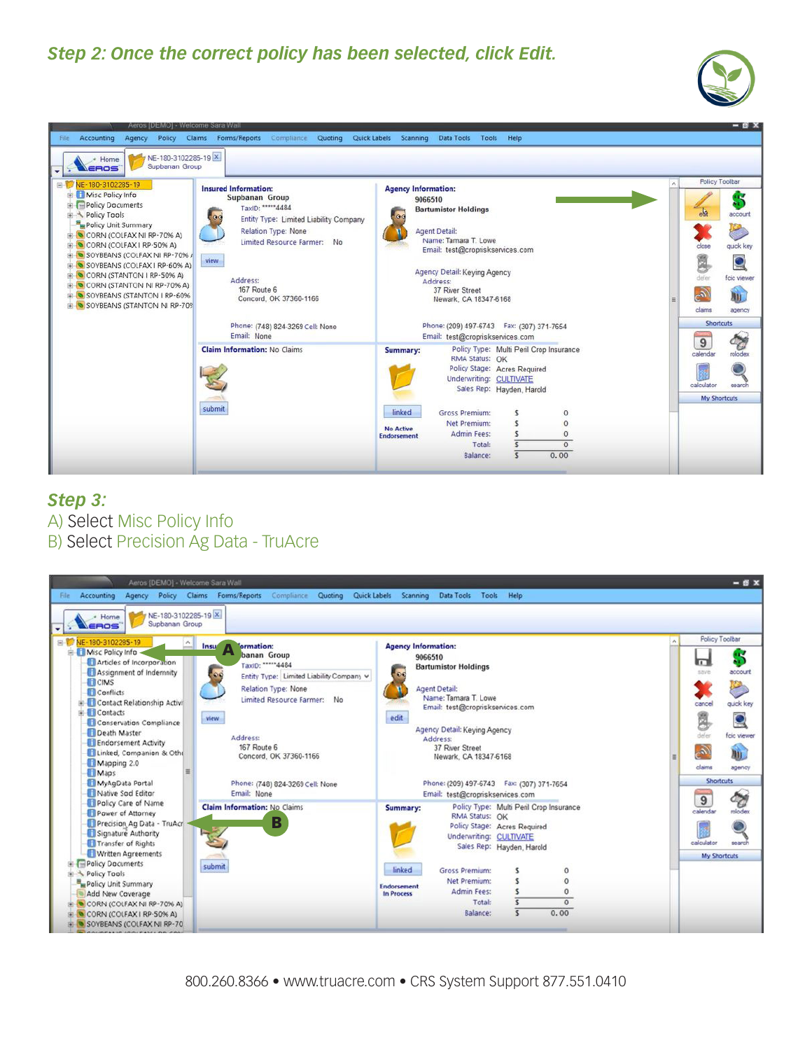## *Step 2: Once the correct policy has been selected, click Edit.*





#### *Step 3:*  A) Select Misc Policy Info B) Select Precision Ag Data - TruAcre

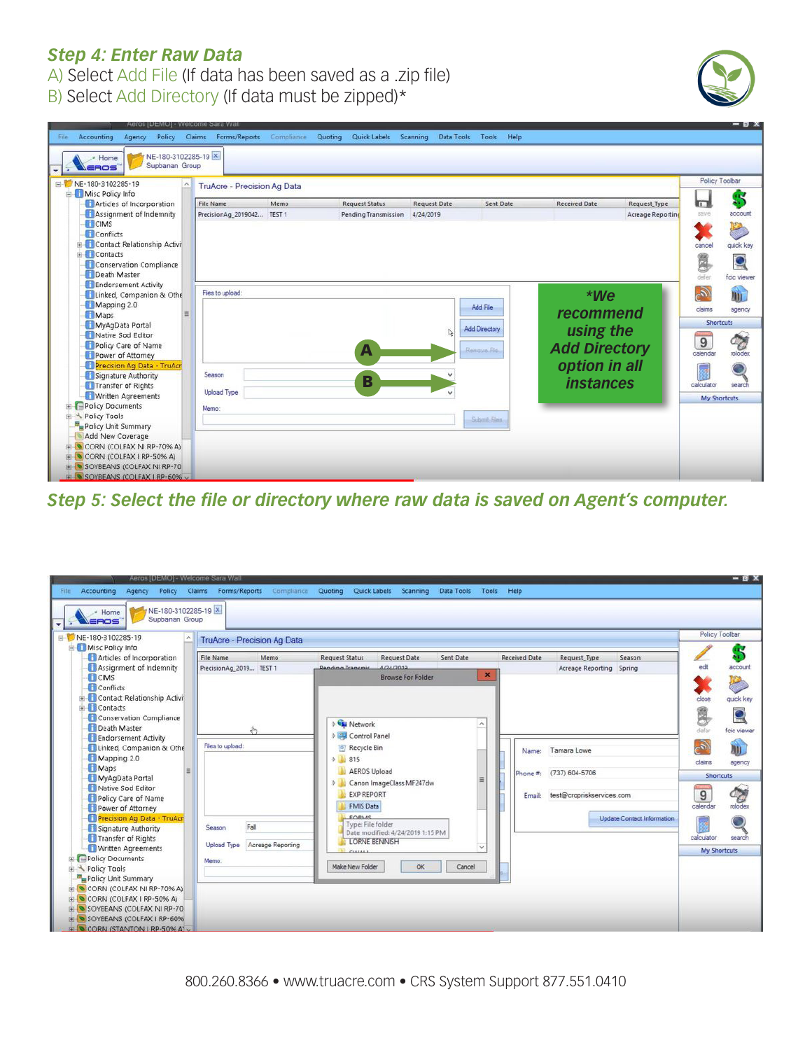## *Step 4: Enter Raw Data*

A) Select Add File (If data has been saved as a .zip file)





*Step 5: Select the file or directory where raw data is saved on Agent's computer.*